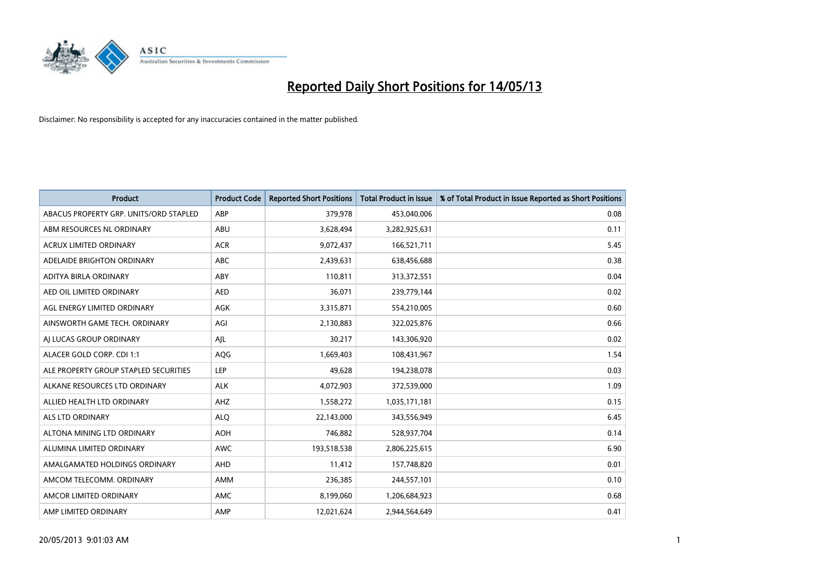

| <b>Product</b>                         | <b>Product Code</b> | <b>Reported Short Positions</b> | <b>Total Product in Issue</b> | % of Total Product in Issue Reported as Short Positions |
|----------------------------------------|---------------------|---------------------------------|-------------------------------|---------------------------------------------------------|
| ABACUS PROPERTY GRP. UNITS/ORD STAPLED | ABP                 | 379,978                         | 453,040,006                   | 0.08                                                    |
| ABM RESOURCES NL ORDINARY              | ABU                 | 3,628,494                       | 3,282,925,631                 | 0.11                                                    |
| <b>ACRUX LIMITED ORDINARY</b>          | <b>ACR</b>          | 9,072,437                       | 166,521,711                   | 5.45                                                    |
| ADELAIDE BRIGHTON ORDINARY             | ABC                 | 2,439,631                       | 638,456,688                   | 0.38                                                    |
| <b>ADITYA BIRLA ORDINARY</b>           | ABY                 | 110,811                         | 313,372,551                   | 0.04                                                    |
| AED OIL LIMITED ORDINARY               | <b>AED</b>          | 36,071                          | 239,779,144                   | 0.02                                                    |
| AGL ENERGY LIMITED ORDINARY            | <b>AGK</b>          | 3,315,871                       | 554,210,005                   | 0.60                                                    |
| AINSWORTH GAME TECH. ORDINARY          | AGI                 | 2,130,883                       | 322,025,876                   | 0.66                                                    |
| AI LUCAS GROUP ORDINARY                | AIL                 | 30,217                          | 143,306,920                   | 0.02                                                    |
| ALACER GOLD CORP. CDI 1:1              | AQG                 | 1,669,403                       | 108,431,967                   | 1.54                                                    |
| ALE PROPERTY GROUP STAPLED SECURITIES  | LEP                 | 49,628                          | 194,238,078                   | 0.03                                                    |
| ALKANE RESOURCES LTD ORDINARY          | <b>ALK</b>          | 4,072,903                       | 372,539,000                   | 1.09                                                    |
| ALLIED HEALTH LTD ORDINARY             | AHZ                 | 1,558,272                       | 1,035,171,181                 | 0.15                                                    |
| <b>ALS LTD ORDINARY</b>                | <b>ALO</b>          | 22,143,000                      | 343,556,949                   | 6.45                                                    |
| ALTONA MINING LTD ORDINARY             | <b>AOH</b>          | 746,882                         | 528,937,704                   | 0.14                                                    |
| ALUMINA LIMITED ORDINARY               | <b>AWC</b>          | 193,518,538                     | 2,806,225,615                 | 6.90                                                    |
| AMALGAMATED HOLDINGS ORDINARY          | AHD                 | 11,412                          | 157,748,820                   | 0.01                                                    |
| AMCOM TELECOMM. ORDINARY               | <b>AMM</b>          | 236,385                         | 244,557,101                   | 0.10                                                    |
| AMCOR LIMITED ORDINARY                 | <b>AMC</b>          | 8,199,060                       | 1,206,684,923                 | 0.68                                                    |
| AMP LIMITED ORDINARY                   | AMP                 | 12,021,624                      | 2.944.564.649                 | 0.41                                                    |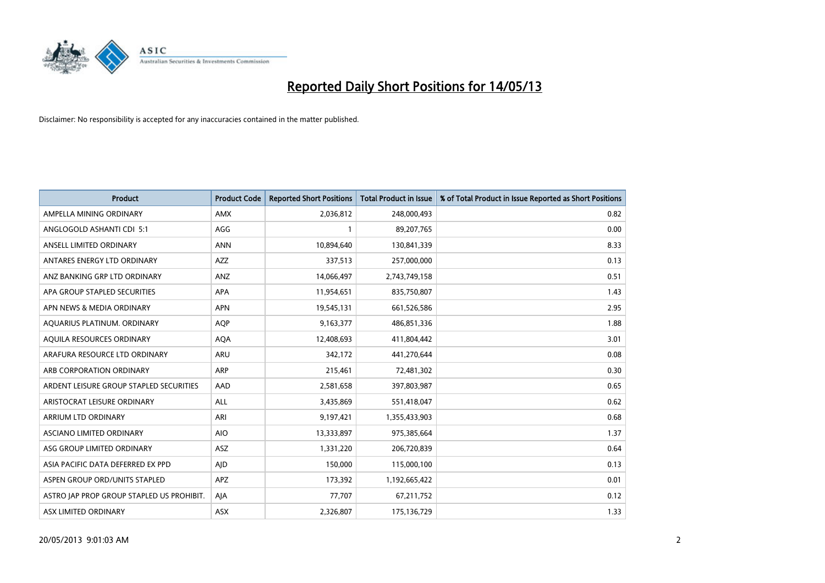

| <b>Product</b>                            | <b>Product Code</b> | <b>Reported Short Positions</b> | <b>Total Product in Issue</b> | % of Total Product in Issue Reported as Short Positions |
|-------------------------------------------|---------------------|---------------------------------|-------------------------------|---------------------------------------------------------|
| AMPELLA MINING ORDINARY                   | <b>AMX</b>          | 2,036,812                       | 248,000,493                   | 0.82                                                    |
| ANGLOGOLD ASHANTI CDI 5:1                 | AGG                 |                                 | 89,207,765                    | 0.00                                                    |
| ANSELL LIMITED ORDINARY                   | <b>ANN</b>          | 10,894,640                      | 130,841,339                   | 8.33                                                    |
| ANTARES ENERGY LTD ORDINARY               | <b>AZZ</b>          | 337,513                         | 257,000,000                   | 0.13                                                    |
| ANZ BANKING GRP LTD ORDINARY              | ANZ                 | 14,066,497                      | 2,743,749,158                 | 0.51                                                    |
| APA GROUP STAPLED SECURITIES              | <b>APA</b>          | 11,954,651                      | 835,750,807                   | 1.43                                                    |
| APN NEWS & MEDIA ORDINARY                 | <b>APN</b>          | 19,545,131                      | 661,526,586                   | 2.95                                                    |
| AQUARIUS PLATINUM. ORDINARY               | <b>AOP</b>          | 9,163,377                       | 486,851,336                   | 1.88                                                    |
| AQUILA RESOURCES ORDINARY                 | <b>AQA</b>          | 12,408,693                      | 411,804,442                   | 3.01                                                    |
| ARAFURA RESOURCE LTD ORDINARY             | <b>ARU</b>          | 342,172                         | 441,270,644                   | 0.08                                                    |
| ARB CORPORATION ORDINARY                  | <b>ARP</b>          | 215,461                         | 72,481,302                    | 0.30                                                    |
| ARDENT LEISURE GROUP STAPLED SECURITIES   | AAD                 | 2,581,658                       | 397,803,987                   | 0.65                                                    |
| ARISTOCRAT LEISURE ORDINARY               | <b>ALL</b>          | 3,435,869                       | 551,418,047                   | 0.62                                                    |
| <b>ARRIUM LTD ORDINARY</b>                | ARI                 | 9,197,421                       | 1,355,433,903                 | 0.68                                                    |
| ASCIANO LIMITED ORDINARY                  | <b>AIO</b>          | 13,333,897                      | 975,385,664                   | 1.37                                                    |
| ASG GROUP LIMITED ORDINARY                | ASZ                 | 1,331,220                       | 206,720,839                   | 0.64                                                    |
| ASIA PACIFIC DATA DEFERRED EX PPD         | AID                 | 150,000                         | 115,000,100                   | 0.13                                                    |
| ASPEN GROUP ORD/UNITS STAPLED             | <b>APZ</b>          | 173,392                         | 1,192,665,422                 | 0.01                                                    |
| ASTRO JAP PROP GROUP STAPLED US PROHIBIT. | AIA                 | 77,707                          | 67,211,752                    | 0.12                                                    |
| ASX LIMITED ORDINARY                      | ASX                 | 2,326,807                       | 175,136,729                   | 1.33                                                    |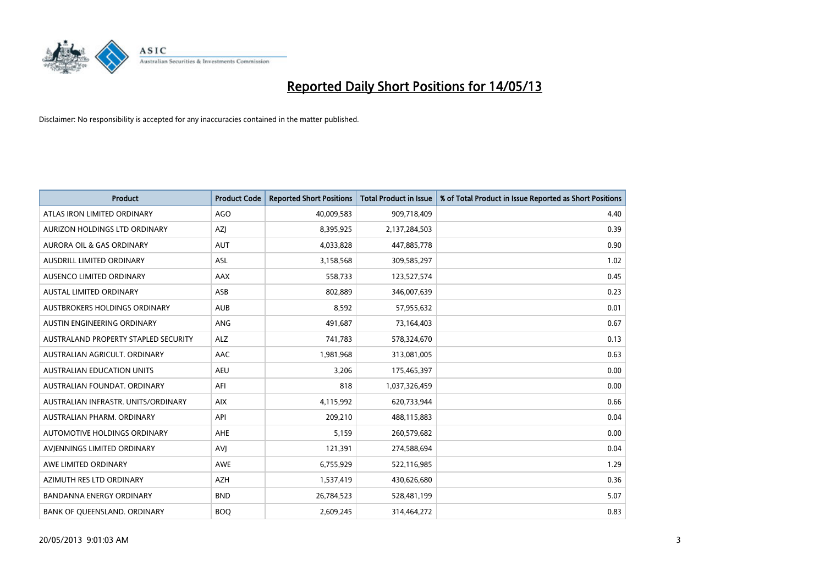

| <b>Product</b>                       | <b>Product Code</b> | <b>Reported Short Positions</b> | <b>Total Product in Issue</b> | % of Total Product in Issue Reported as Short Positions |
|--------------------------------------|---------------------|---------------------------------|-------------------------------|---------------------------------------------------------|
| ATLAS IRON LIMITED ORDINARY          | AGO                 | 40,009,583                      | 909,718,409                   | 4.40                                                    |
| AURIZON HOLDINGS LTD ORDINARY        | <b>AZI</b>          | 8,395,925                       | 2,137,284,503                 | 0.39                                                    |
| <b>AURORA OIL &amp; GAS ORDINARY</b> | <b>AUT</b>          | 4,033,828                       | 447,885,778                   | 0.90                                                    |
| AUSDRILL LIMITED ORDINARY            | ASL                 | 3,158,568                       | 309,585,297                   | 1.02                                                    |
| AUSENCO LIMITED ORDINARY             | AAX                 | 558,733                         | 123,527,574                   | 0.45                                                    |
| <b>AUSTAL LIMITED ORDINARY</b>       | ASB                 | 802,889                         | 346,007,639                   | 0.23                                                    |
| AUSTBROKERS HOLDINGS ORDINARY        | <b>AUB</b>          | 8,592                           | 57,955,632                    | 0.01                                                    |
| AUSTIN ENGINEERING ORDINARY          | <b>ANG</b>          | 491,687                         | 73,164,403                    | 0.67                                                    |
| AUSTRALAND PROPERTY STAPLED SECURITY | <b>ALZ</b>          | 741,783                         | 578,324,670                   | 0.13                                                    |
| AUSTRALIAN AGRICULT, ORDINARY        | <b>AAC</b>          | 1,981,968                       | 313,081,005                   | 0.63                                                    |
| AUSTRALIAN EDUCATION UNITS           | <b>AEU</b>          | 3,206                           | 175,465,397                   | 0.00                                                    |
| AUSTRALIAN FOUNDAT, ORDINARY         | AFI                 | 818                             | 1,037,326,459                 | 0.00                                                    |
| AUSTRALIAN INFRASTR. UNITS/ORDINARY  | <b>AIX</b>          | 4,115,992                       | 620,733,944                   | 0.66                                                    |
| AUSTRALIAN PHARM, ORDINARY           | API                 | 209,210                         | 488,115,883                   | 0.04                                                    |
| AUTOMOTIVE HOLDINGS ORDINARY         | <b>AHE</b>          | 5,159                           | 260,579,682                   | 0.00                                                    |
| AVIENNINGS LIMITED ORDINARY          | AVI                 | 121,391                         | 274,588,694                   | 0.04                                                    |
| AWE LIMITED ORDINARY                 | <b>AWE</b>          | 6,755,929                       | 522,116,985                   | 1.29                                                    |
| AZIMUTH RES LTD ORDINARY             | <b>AZH</b>          | 1,537,419                       | 430,626,680                   | 0.36                                                    |
| <b>BANDANNA ENERGY ORDINARY</b>      | <b>BND</b>          | 26,784,523                      | 528,481,199                   | 5.07                                                    |
| BANK OF QUEENSLAND. ORDINARY         | <b>BOO</b>          | 2,609,245                       | 314,464,272                   | 0.83                                                    |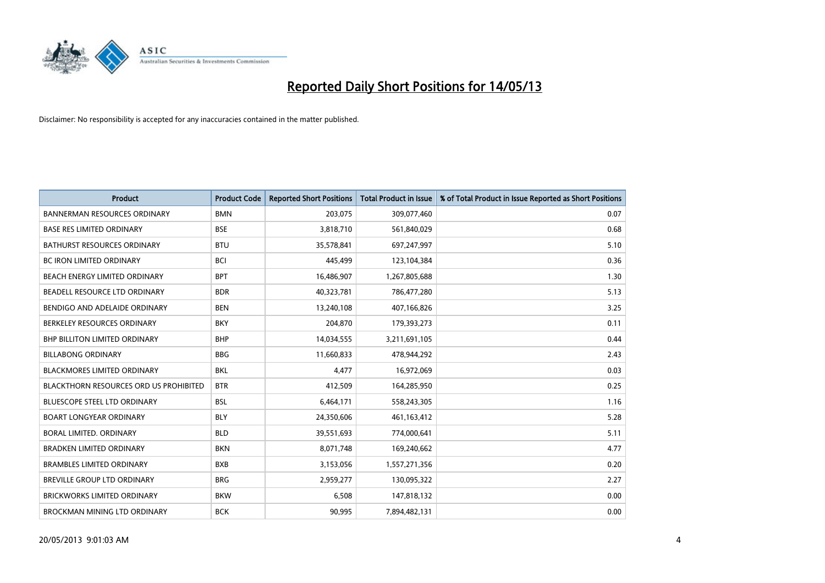

| <b>Product</b>                                | <b>Product Code</b> | <b>Reported Short Positions</b> | <b>Total Product in Issue</b> | % of Total Product in Issue Reported as Short Positions |
|-----------------------------------------------|---------------------|---------------------------------|-------------------------------|---------------------------------------------------------|
| <b>BANNERMAN RESOURCES ORDINARY</b>           | <b>BMN</b>          | 203,075                         | 309,077,460                   | 0.07                                                    |
| <b>BASE RES LIMITED ORDINARY</b>              | <b>BSE</b>          | 3,818,710                       | 561,840,029                   | 0.68                                                    |
| <b>BATHURST RESOURCES ORDINARY</b>            | <b>BTU</b>          | 35,578,841                      | 697,247,997                   | 5.10                                                    |
| BC IRON LIMITED ORDINARY                      | <b>BCI</b>          | 445,499                         | 123,104,384                   | 0.36                                                    |
| BEACH ENERGY LIMITED ORDINARY                 | <b>BPT</b>          | 16,486,907                      | 1,267,805,688                 | 1.30                                                    |
| BEADELL RESOURCE LTD ORDINARY                 | <b>BDR</b>          | 40,323,781                      | 786,477,280                   | 5.13                                                    |
| BENDIGO AND ADELAIDE ORDINARY                 | <b>BEN</b>          | 13,240,108                      | 407,166,826                   | 3.25                                                    |
| BERKELEY RESOURCES ORDINARY                   | <b>BKY</b>          | 204,870                         | 179,393,273                   | 0.11                                                    |
| BHP BILLITON LIMITED ORDINARY                 | <b>BHP</b>          | 14,034,555                      | 3,211,691,105                 | 0.44                                                    |
| <b>BILLABONG ORDINARY</b>                     | <b>BBG</b>          | 11,660,833                      | 478,944,292                   | 2.43                                                    |
| <b>BLACKMORES LIMITED ORDINARY</b>            | <b>BKL</b>          | 4,477                           | 16,972,069                    | 0.03                                                    |
| <b>BLACKTHORN RESOURCES ORD US PROHIBITED</b> | <b>BTR</b>          | 412,509                         | 164,285,950                   | 0.25                                                    |
| <b>BLUESCOPE STEEL LTD ORDINARY</b>           | <b>BSL</b>          | 6,464,171                       | 558,243,305                   | 1.16                                                    |
| <b>BOART LONGYEAR ORDINARY</b>                | <b>BLY</b>          | 24,350,606                      | 461,163,412                   | 5.28                                                    |
| BORAL LIMITED, ORDINARY                       | <b>BLD</b>          | 39,551,693                      | 774,000,641                   | 5.11                                                    |
| <b>BRADKEN LIMITED ORDINARY</b>               | <b>BKN</b>          | 8,071,748                       | 169,240,662                   | 4.77                                                    |
| <b>BRAMBLES LIMITED ORDINARY</b>              | <b>BXB</b>          | 3,153,056                       | 1,557,271,356                 | 0.20                                                    |
| BREVILLE GROUP LTD ORDINARY                   | <b>BRG</b>          | 2,959,277                       | 130,095,322                   | 2.27                                                    |
| <b>BRICKWORKS LIMITED ORDINARY</b>            | <b>BKW</b>          | 6,508                           | 147,818,132                   | 0.00                                                    |
| BROCKMAN MINING LTD ORDINARY                  | <b>BCK</b>          | 90.995                          | 7,894,482,131                 | 0.00                                                    |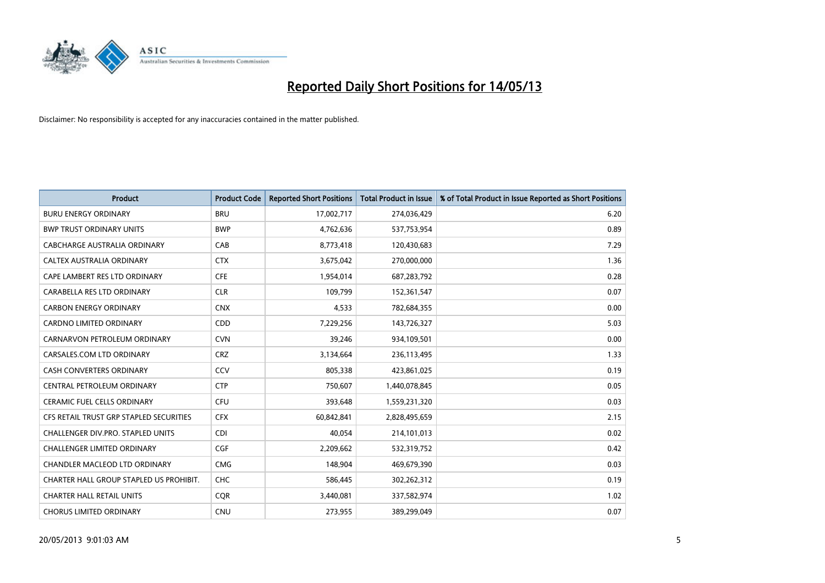

| <b>Product</b>                          | <b>Product Code</b> | <b>Reported Short Positions</b> | <b>Total Product in Issue</b> | % of Total Product in Issue Reported as Short Positions |
|-----------------------------------------|---------------------|---------------------------------|-------------------------------|---------------------------------------------------------|
| <b>BURU ENERGY ORDINARY</b>             | <b>BRU</b>          | 17,002,717                      | 274,036,429                   | 6.20                                                    |
| <b>BWP TRUST ORDINARY UNITS</b>         | <b>BWP</b>          | 4,762,636                       | 537,753,954                   | 0.89                                                    |
| CABCHARGE AUSTRALIA ORDINARY            | CAB                 | 8,773,418                       | 120,430,683                   | 7.29                                                    |
| CALTEX AUSTRALIA ORDINARY               | <b>CTX</b>          | 3,675,042                       | 270,000,000                   | 1.36                                                    |
| CAPE LAMBERT RES LTD ORDINARY           | <b>CFE</b>          | 1,954,014                       | 687,283,792                   | 0.28                                                    |
| CARABELLA RES LTD ORDINARY              | <b>CLR</b>          | 109,799                         | 152,361,547                   | 0.07                                                    |
| <b>CARBON ENERGY ORDINARY</b>           | <b>CNX</b>          | 4,533                           | 782,684,355                   | 0.00                                                    |
| <b>CARDNO LIMITED ORDINARY</b>          | CDD                 | 7,229,256                       | 143,726,327                   | 5.03                                                    |
| CARNARVON PETROLEUM ORDINARY            | <b>CVN</b>          | 39,246                          | 934,109,501                   | 0.00                                                    |
| CARSALES.COM LTD ORDINARY               | <b>CRZ</b>          | 3,134,664                       | 236,113,495                   | 1.33                                                    |
| <b>CASH CONVERTERS ORDINARY</b>         | CCV                 | 805,338                         | 423,861,025                   | 0.19                                                    |
| CENTRAL PETROLEUM ORDINARY              | <b>CTP</b>          | 750,607                         | 1,440,078,845                 | 0.05                                                    |
| <b>CERAMIC FUEL CELLS ORDINARY</b>      | <b>CFU</b>          | 393,648                         | 1,559,231,320                 | 0.03                                                    |
| CFS RETAIL TRUST GRP STAPLED SECURITIES | <b>CFX</b>          | 60,842,841                      | 2,828,495,659                 | 2.15                                                    |
| CHALLENGER DIV.PRO. STAPLED UNITS       | <b>CDI</b>          | 40.054                          | 214,101,013                   | 0.02                                                    |
| <b>CHALLENGER LIMITED ORDINARY</b>      | <b>CGF</b>          | 2,209,662                       | 532,319,752                   | 0.42                                                    |
| CHANDLER MACLEOD LTD ORDINARY           | <b>CMG</b>          | 148,904                         | 469,679,390                   | 0.03                                                    |
| CHARTER HALL GROUP STAPLED US PROHIBIT. | <b>CHC</b>          | 586,445                         | 302,262,312                   | 0.19                                                    |
| <b>CHARTER HALL RETAIL UNITS</b>        | <b>COR</b>          | 3,440,081                       | 337,582,974                   | 1.02                                                    |
| <b>CHORUS LIMITED ORDINARY</b>          | <b>CNU</b>          | 273.955                         | 389,299,049                   | 0.07                                                    |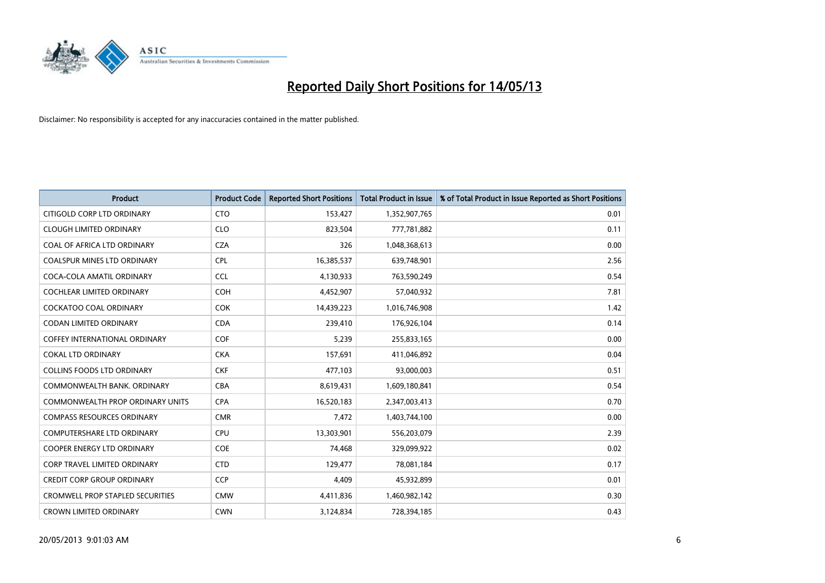

| <b>Product</b>                          | <b>Product Code</b> | <b>Reported Short Positions</b> | <b>Total Product in Issue</b> | % of Total Product in Issue Reported as Short Positions |
|-----------------------------------------|---------------------|---------------------------------|-------------------------------|---------------------------------------------------------|
| CITIGOLD CORP LTD ORDINARY              | <b>CTO</b>          | 153,427                         | 1,352,907,765                 | 0.01                                                    |
| <b>CLOUGH LIMITED ORDINARY</b>          | <b>CLO</b>          | 823,504                         | 777,781,882                   | 0.11                                                    |
| COAL OF AFRICA LTD ORDINARY             | <b>CZA</b>          | 326                             | 1,048,368,613                 | 0.00                                                    |
| <b>COALSPUR MINES LTD ORDINARY</b>      | <b>CPL</b>          | 16,385,537                      | 639,748,901                   | 2.56                                                    |
| COCA-COLA AMATIL ORDINARY               | <b>CCL</b>          | 4,130,933                       | 763,590,249                   | 0.54                                                    |
| <b>COCHLEAR LIMITED ORDINARY</b>        | <b>COH</b>          | 4,452,907                       | 57,040,932                    | 7.81                                                    |
| COCKATOO COAL ORDINARY                  | <b>COK</b>          | 14,439,223                      | 1,016,746,908                 | 1.42                                                    |
| CODAN LIMITED ORDINARY                  | <b>CDA</b>          | 239,410                         | 176,926,104                   | 0.14                                                    |
| <b>COFFEY INTERNATIONAL ORDINARY</b>    | <b>COF</b>          | 5,239                           | 255,833,165                   | 0.00                                                    |
| <b>COKAL LTD ORDINARY</b>               | <b>CKA</b>          | 157,691                         | 411,046,892                   | 0.04                                                    |
| <b>COLLINS FOODS LTD ORDINARY</b>       | <b>CKF</b>          | 477,103                         | 93,000,003                    | 0.51                                                    |
| COMMONWEALTH BANK, ORDINARY             | <b>CBA</b>          | 8,619,431                       | 1,609,180,841                 | 0.54                                                    |
| <b>COMMONWEALTH PROP ORDINARY UNITS</b> | <b>CPA</b>          | 16,520,183                      | 2,347,003,413                 | 0.70                                                    |
| <b>COMPASS RESOURCES ORDINARY</b>       | <b>CMR</b>          | 7,472                           | 1,403,744,100                 | 0.00                                                    |
| <b>COMPUTERSHARE LTD ORDINARY</b>       | CPU                 | 13,303,901                      | 556,203,079                   | 2.39                                                    |
| COOPER ENERGY LTD ORDINARY              | <b>COE</b>          | 74,468                          | 329,099,922                   | 0.02                                                    |
| <b>CORP TRAVEL LIMITED ORDINARY</b>     | <b>CTD</b>          | 129,477                         | 78,081,184                    | 0.17                                                    |
| CREDIT CORP GROUP ORDINARY              | <b>CCP</b>          | 4,409                           | 45,932,899                    | 0.01                                                    |
| <b>CROMWELL PROP STAPLED SECURITIES</b> | <b>CMW</b>          | 4,411,836                       | 1,460,982,142                 | 0.30                                                    |
| <b>CROWN LIMITED ORDINARY</b>           | <b>CWN</b>          | 3,124,834                       | 728,394,185                   | 0.43                                                    |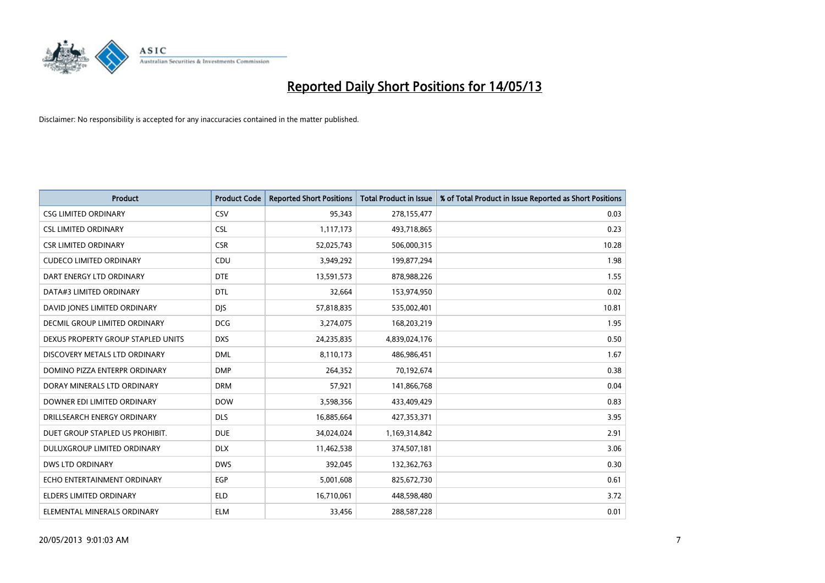

| <b>Product</b>                       | <b>Product Code</b> | <b>Reported Short Positions</b> | <b>Total Product in Issue</b> | % of Total Product in Issue Reported as Short Positions |
|--------------------------------------|---------------------|---------------------------------|-------------------------------|---------------------------------------------------------|
| <b>CSG LIMITED ORDINARY</b>          | CSV                 | 95,343                          | 278,155,477                   | 0.03                                                    |
| <b>CSL LIMITED ORDINARY</b>          | <b>CSL</b>          | 1,117,173                       | 493,718,865                   | 0.23                                                    |
| <b>CSR LIMITED ORDINARY</b>          | <b>CSR</b>          | 52,025,743                      | 506,000,315                   | 10.28                                                   |
| <b>CUDECO LIMITED ORDINARY</b>       | CDU                 | 3,949,292                       | 199,877,294                   | 1.98                                                    |
| DART ENERGY LTD ORDINARY             | <b>DTE</b>          | 13,591,573                      | 878,988,226                   | 1.55                                                    |
| DATA#3 LIMITED ORDINARY              | <b>DTL</b>          | 32,664                          | 153,974,950                   | 0.02                                                    |
| DAVID JONES LIMITED ORDINARY         | <b>DIS</b>          | 57,818,835                      | 535,002,401                   | 10.81                                                   |
| <b>DECMIL GROUP LIMITED ORDINARY</b> | <b>DCG</b>          | 3,274,075                       | 168,203,219                   | 1.95                                                    |
| DEXUS PROPERTY GROUP STAPLED UNITS   | <b>DXS</b>          | 24,235,835                      | 4,839,024,176                 | 0.50                                                    |
| DISCOVERY METALS LTD ORDINARY        | <b>DML</b>          | 8,110,173                       | 486,986,451                   | 1.67                                                    |
| DOMINO PIZZA ENTERPR ORDINARY        | <b>DMP</b>          | 264,352                         | 70,192,674                    | 0.38                                                    |
| DORAY MINERALS LTD ORDINARY          | <b>DRM</b>          | 57,921                          | 141,866,768                   | 0.04                                                    |
| DOWNER EDI LIMITED ORDINARY          | <b>DOW</b>          | 3,598,356                       | 433,409,429                   | 0.83                                                    |
| DRILLSEARCH ENERGY ORDINARY          | <b>DLS</b>          | 16,885,664                      | 427,353,371                   | 3.95                                                    |
| DUET GROUP STAPLED US PROHIBIT.      | <b>DUE</b>          | 34,024,024                      | 1,169,314,842                 | 2.91                                                    |
| DULUXGROUP LIMITED ORDINARY          | <b>DLX</b>          | 11,462,538                      | 374,507,181                   | 3.06                                                    |
| <b>DWS LTD ORDINARY</b>              | <b>DWS</b>          | 392,045                         | 132,362,763                   | 0.30                                                    |
| ECHO ENTERTAINMENT ORDINARY          | <b>EGP</b>          | 5,001,608                       | 825,672,730                   | 0.61                                                    |
| <b>ELDERS LIMITED ORDINARY</b>       | <b>ELD</b>          | 16,710,061                      | 448,598,480                   | 3.72                                                    |
| ELEMENTAL MINERALS ORDINARY          | <b>ELM</b>          | 33,456                          | 288,587,228                   | 0.01                                                    |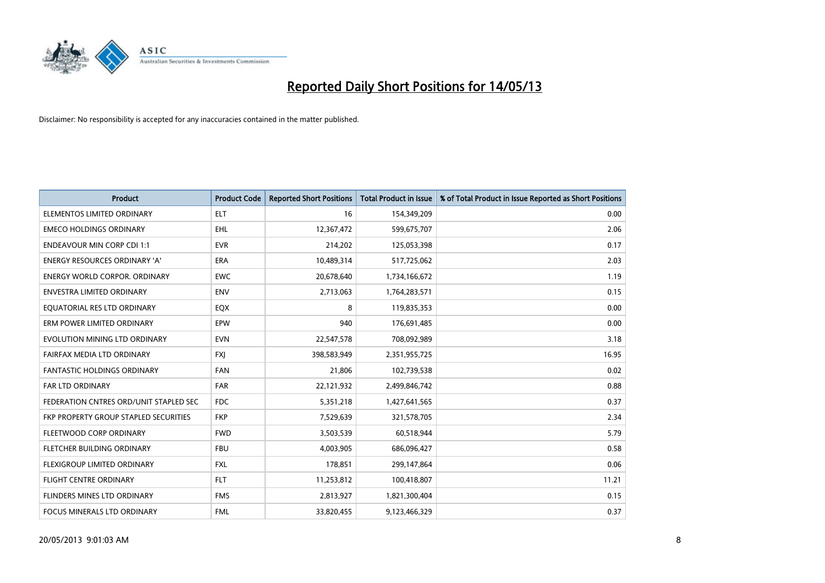

| <b>Product</b>                         | <b>Product Code</b> | <b>Reported Short Positions</b> | <b>Total Product in Issue</b> | % of Total Product in Issue Reported as Short Positions |
|----------------------------------------|---------------------|---------------------------------|-------------------------------|---------------------------------------------------------|
| ELEMENTOS LIMITED ORDINARY             | <b>ELT</b>          | 16                              | 154,349,209                   | 0.00                                                    |
| <b>EMECO HOLDINGS ORDINARY</b>         | <b>EHL</b>          | 12,367,472                      | 599,675,707                   | 2.06                                                    |
| <b>ENDEAVOUR MIN CORP CDI 1:1</b>      | <b>EVR</b>          | 214,202                         | 125,053,398                   | 0.17                                                    |
| ENERGY RESOURCES ORDINARY 'A'          | ERA                 | 10,489,314                      | 517,725,062                   | 2.03                                                    |
| <b>ENERGY WORLD CORPOR, ORDINARY</b>   | <b>EWC</b>          | 20,678,640                      | 1,734,166,672                 | 1.19                                                    |
| <b>ENVESTRA LIMITED ORDINARY</b>       | <b>ENV</b>          | 2,713,063                       | 1,764,283,571                 | 0.15                                                    |
| EQUATORIAL RES LTD ORDINARY            | EQX                 | 8                               | 119,835,353                   | 0.00                                                    |
| ERM POWER LIMITED ORDINARY             | EPW                 | 940                             | 176,691,485                   | 0.00                                                    |
| EVOLUTION MINING LTD ORDINARY          | <b>EVN</b>          | 22,547,578                      | 708,092,989                   | 3.18                                                    |
| FAIRFAX MEDIA LTD ORDINARY             | <b>FXI</b>          | 398,583,949                     | 2,351,955,725                 | 16.95                                                   |
| FANTASTIC HOLDINGS ORDINARY            | <b>FAN</b>          | 21,806                          | 102,739,538                   | 0.02                                                    |
| <b>FAR LTD ORDINARY</b>                | <b>FAR</b>          | 22,121,932                      | 2,499,846,742                 | 0.88                                                    |
| FEDERATION CNTRES ORD/UNIT STAPLED SEC | <b>FDC</b>          | 5,351,218                       | 1,427,641,565                 | 0.37                                                    |
| FKP PROPERTY GROUP STAPLED SECURITIES  | <b>FKP</b>          | 7,529,639                       | 321,578,705                   | 2.34                                                    |
| FLEETWOOD CORP ORDINARY                | <b>FWD</b>          | 3,503,539                       | 60,518,944                    | 5.79                                                    |
| FLETCHER BUILDING ORDINARY             | <b>FBU</b>          | 4,003,905                       | 686,096,427                   | 0.58                                                    |
| FLEXIGROUP LIMITED ORDINARY            | <b>FXL</b>          | 178,851                         | 299,147,864                   | 0.06                                                    |
| <b>FLIGHT CENTRE ORDINARY</b>          | <b>FLT</b>          | 11,253,812                      | 100,418,807                   | 11.21                                                   |
| FLINDERS MINES LTD ORDINARY            | <b>FMS</b>          | 2,813,927                       | 1,821,300,404                 | 0.15                                                    |
| FOCUS MINERALS LTD ORDINARY            | <b>FML</b>          | 33,820,455                      | 9,123,466,329                 | 0.37                                                    |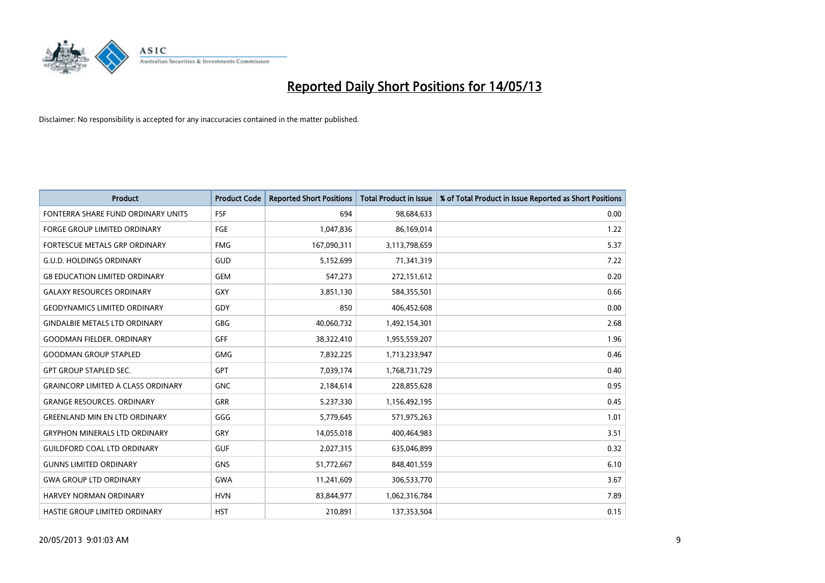

| <b>Product</b>                            | <b>Product Code</b> | <b>Reported Short Positions</b> | <b>Total Product in Issue</b> | % of Total Product in Issue Reported as Short Positions |
|-------------------------------------------|---------------------|---------------------------------|-------------------------------|---------------------------------------------------------|
| FONTERRA SHARE FUND ORDINARY UNITS        | <b>FSF</b>          | 694                             | 98,684,633                    | 0.00                                                    |
| FORGE GROUP LIMITED ORDINARY              | FGE                 | 1,047,836                       | 86,169,014                    | 1.22                                                    |
| <b>FORTESCUE METALS GRP ORDINARY</b>      | <b>FMG</b>          | 167,090,311                     | 3,113,798,659                 | 5.37                                                    |
| <b>G.U.D. HOLDINGS ORDINARY</b>           | GUD                 | 5,152,699                       | 71,341,319                    | 7.22                                                    |
| <b>G8 EDUCATION LIMITED ORDINARY</b>      | <b>GEM</b>          | 547,273                         | 272,151,612                   | 0.20                                                    |
| <b>GALAXY RESOURCES ORDINARY</b>          | GXY                 | 3,851,130                       | 584,355,501                   | 0.66                                                    |
| <b>GEODYNAMICS LIMITED ORDINARY</b>       | GDY                 | 850                             | 406,452,608                   | 0.00                                                    |
| <b>GINDALBIE METALS LTD ORDINARY</b>      | GBG                 | 40,060,732                      | 1,492,154,301                 | 2.68                                                    |
| <b>GOODMAN FIELDER. ORDINARY</b>          | <b>GFF</b>          | 38,322,410                      | 1,955,559,207                 | 1.96                                                    |
| <b>GOODMAN GROUP STAPLED</b>              | <b>GMG</b>          | 7,832,225                       | 1,713,233,947                 | 0.46                                                    |
| <b>GPT GROUP STAPLED SEC.</b>             | <b>GPT</b>          | 7,039,174                       | 1,768,731,729                 | 0.40                                                    |
| <b>GRAINCORP LIMITED A CLASS ORDINARY</b> | <b>GNC</b>          | 2,184,614                       | 228,855,628                   | 0.95                                                    |
| <b>GRANGE RESOURCES, ORDINARY</b>         | <b>GRR</b>          | 5,237,330                       | 1,156,492,195                 | 0.45                                                    |
| <b>GREENLAND MIN EN LTD ORDINARY</b>      | GGG                 | 5,779,645                       | 571,975,263                   | 1.01                                                    |
| <b>GRYPHON MINERALS LTD ORDINARY</b>      | GRY                 | 14,055,018                      | 400,464,983                   | 3.51                                                    |
| <b>GUILDFORD COAL LTD ORDINARY</b>        | <b>GUF</b>          | 2,027,315                       | 635,046,899                   | 0.32                                                    |
| <b>GUNNS LIMITED ORDINARY</b>             | <b>GNS</b>          | 51,772,667                      | 848,401,559                   | 6.10                                                    |
| <b>GWA GROUP LTD ORDINARY</b>             | <b>GWA</b>          | 11,241,609                      | 306,533,770                   | 3.67                                                    |
| <b>HARVEY NORMAN ORDINARY</b>             | <b>HVN</b>          | 83,844,977                      | 1,062,316,784                 | 7.89                                                    |
| <b>HASTIE GROUP LIMITED ORDINARY</b>      | <b>HST</b>          | 210.891                         | 137,353,504                   | 0.15                                                    |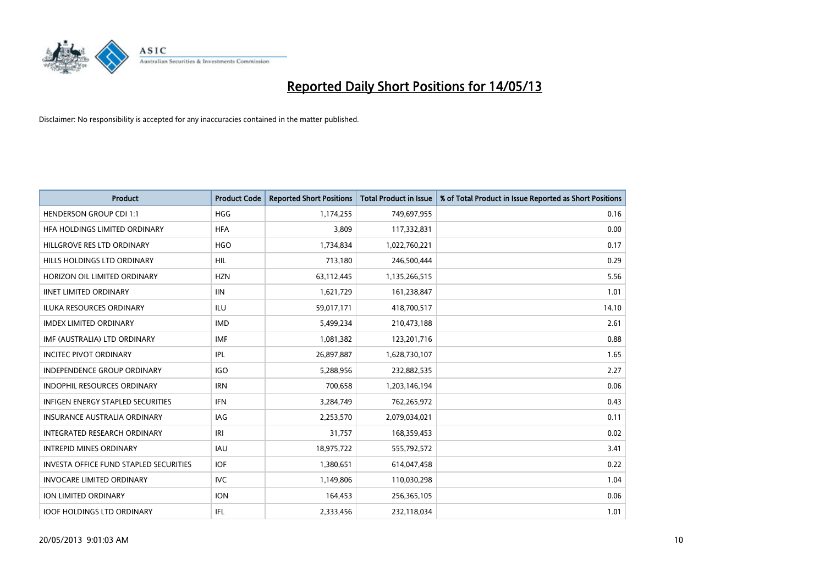

| <b>Product</b>                                | <b>Product Code</b> | <b>Reported Short Positions</b> | <b>Total Product in Issue</b> | % of Total Product in Issue Reported as Short Positions |
|-----------------------------------------------|---------------------|---------------------------------|-------------------------------|---------------------------------------------------------|
| <b>HENDERSON GROUP CDI 1:1</b>                | HGG                 | 1,174,255                       | 749,697,955                   | 0.16                                                    |
| HFA HOLDINGS LIMITED ORDINARY                 | <b>HFA</b>          | 3,809                           | 117,332,831                   | 0.00                                                    |
| HILLGROVE RES LTD ORDINARY                    | <b>HGO</b>          | 1,734,834                       | 1,022,760,221                 | 0.17                                                    |
| HILLS HOLDINGS LTD ORDINARY                   | <b>HIL</b>          | 713,180                         | 246,500,444                   | 0.29                                                    |
| HORIZON OIL LIMITED ORDINARY                  | <b>HZN</b>          | 63,112,445                      | 1,135,266,515                 | 5.56                                                    |
| <b>IINET LIMITED ORDINARY</b>                 | <b>IIN</b>          | 1,621,729                       | 161,238,847                   | 1.01                                                    |
| <b>ILUKA RESOURCES ORDINARY</b>               | ILU                 | 59,017,171                      | 418,700,517                   | 14.10                                                   |
| <b>IMDEX LIMITED ORDINARY</b>                 | <b>IMD</b>          | 5,499,234                       | 210,473,188                   | 2.61                                                    |
| IMF (AUSTRALIA) LTD ORDINARY                  | IMF                 | 1,081,382                       | 123,201,716                   | 0.88                                                    |
| <b>INCITEC PIVOT ORDINARY</b>                 | IPL                 | 26,897,887                      | 1,628,730,107                 | 1.65                                                    |
| INDEPENDENCE GROUP ORDINARY                   | <b>IGO</b>          | 5,288,956                       | 232,882,535                   | 2.27                                                    |
| <b>INDOPHIL RESOURCES ORDINARY</b>            | <b>IRN</b>          | 700,658                         | 1,203,146,194                 | 0.06                                                    |
| <b>INFIGEN ENERGY STAPLED SECURITIES</b>      | <b>IFN</b>          | 3,284,749                       | 762,265,972                   | 0.43                                                    |
| <b>INSURANCE AUSTRALIA ORDINARY</b>           | IAG                 | 2,253,570                       | 2,079,034,021                 | 0.11                                                    |
| <b>INTEGRATED RESEARCH ORDINARY</b>           | IRI                 | 31,757                          | 168,359,453                   | 0.02                                                    |
| <b>INTREPID MINES ORDINARY</b>                | <b>IAU</b>          | 18,975,722                      | 555,792,572                   | 3.41                                                    |
| <b>INVESTA OFFICE FUND STAPLED SECURITIES</b> | <b>IOF</b>          | 1,380,651                       | 614,047,458                   | 0.22                                                    |
| <b>INVOCARE LIMITED ORDINARY</b>              | IVC                 | 1,149,806                       | 110,030,298                   | 1.04                                                    |
| <b>ION LIMITED ORDINARY</b>                   | <b>ION</b>          | 164,453                         | 256,365,105                   | 0.06                                                    |
| <b>IOOF HOLDINGS LTD ORDINARY</b>             | IFL.                | 2,333,456                       | 232,118,034                   | 1.01                                                    |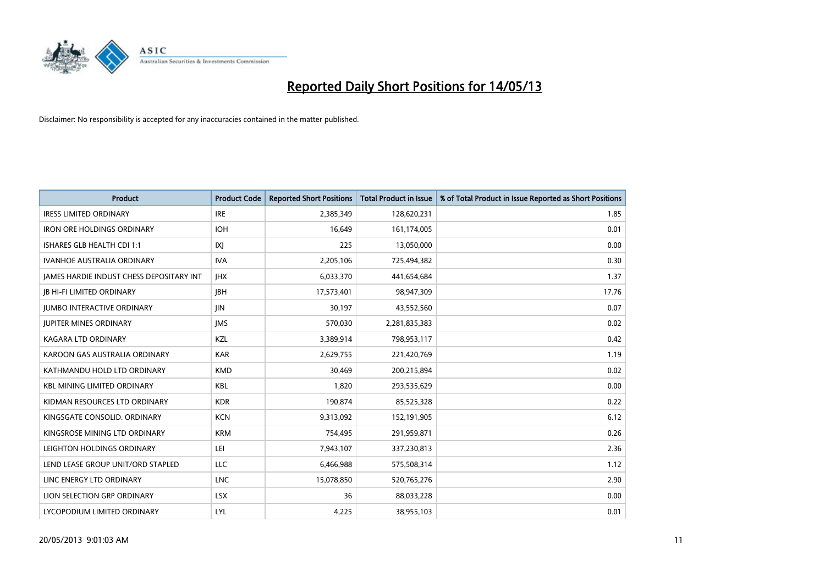

| <b>Product</b>                                  | <b>Product Code</b> | <b>Reported Short Positions</b> | <b>Total Product in Issue</b> | % of Total Product in Issue Reported as Short Positions |
|-------------------------------------------------|---------------------|---------------------------------|-------------------------------|---------------------------------------------------------|
| <b>IRESS LIMITED ORDINARY</b>                   | <b>IRE</b>          | 2,385,349                       | 128,620,231                   | 1.85                                                    |
| <b>IRON ORE HOLDINGS ORDINARY</b>               | <b>IOH</b>          | 16,649                          | 161,174,005                   | 0.01                                                    |
| ISHARES GLB HEALTH CDI 1:1                      | X                   | 225                             | 13,050,000                    | 0.00                                                    |
| <b>IVANHOE AUSTRALIA ORDINARY</b>               | <b>IVA</b>          | 2,205,106                       | 725,494,382                   | 0.30                                                    |
| <b>IAMES HARDIE INDUST CHESS DEPOSITARY INT</b> | <b>IHX</b>          | 6,033,370                       | 441,654,684                   | 1.37                                                    |
| <b>IB HI-FI LIMITED ORDINARY</b>                | <b>IBH</b>          | 17,573,401                      | 98,947,309                    | 17.76                                                   |
| <b>JUMBO INTERACTIVE ORDINARY</b>               | <b>IIN</b>          | 30,197                          | 43,552,560                    | 0.07                                                    |
| <b>JUPITER MINES ORDINARY</b>                   | <b>IMS</b>          | 570,030                         | 2,281,835,383                 | 0.02                                                    |
| <b>KAGARA LTD ORDINARY</b>                      | KZL                 | 3,389,914                       | 798,953,117                   | 0.42                                                    |
| KAROON GAS AUSTRALIA ORDINARY                   | <b>KAR</b>          | 2,629,755                       | 221,420,769                   | 1.19                                                    |
| KATHMANDU HOLD LTD ORDINARY                     | <b>KMD</b>          | 30.469                          | 200,215,894                   | 0.02                                                    |
| <b>KBL MINING LIMITED ORDINARY</b>              | <b>KBL</b>          | 1,820                           | 293,535,629                   | 0.00                                                    |
| KIDMAN RESOURCES LTD ORDINARY                   | <b>KDR</b>          | 190,874                         | 85,525,328                    | 0.22                                                    |
| KINGSGATE CONSOLID. ORDINARY                    | <b>KCN</b>          | 9,313,092                       | 152,191,905                   | 6.12                                                    |
| KINGSROSE MINING LTD ORDINARY                   | <b>KRM</b>          | 754,495                         | 291,959,871                   | 0.26                                                    |
| LEIGHTON HOLDINGS ORDINARY                      | LEI                 | 7,943,107                       | 337,230,813                   | 2.36                                                    |
| LEND LEASE GROUP UNIT/ORD STAPLED               | LLC                 | 6,466,988                       | 575,508,314                   | 1.12                                                    |
| LINC ENERGY LTD ORDINARY                        | <b>LNC</b>          | 15,078,850                      | 520,765,276                   | 2.90                                                    |
| LION SELECTION GRP ORDINARY                     | <b>LSX</b>          | 36                              | 88,033,228                    | 0.00                                                    |
| LYCOPODIUM LIMITED ORDINARY                     | LYL                 | 4,225                           | 38,955,103                    | 0.01                                                    |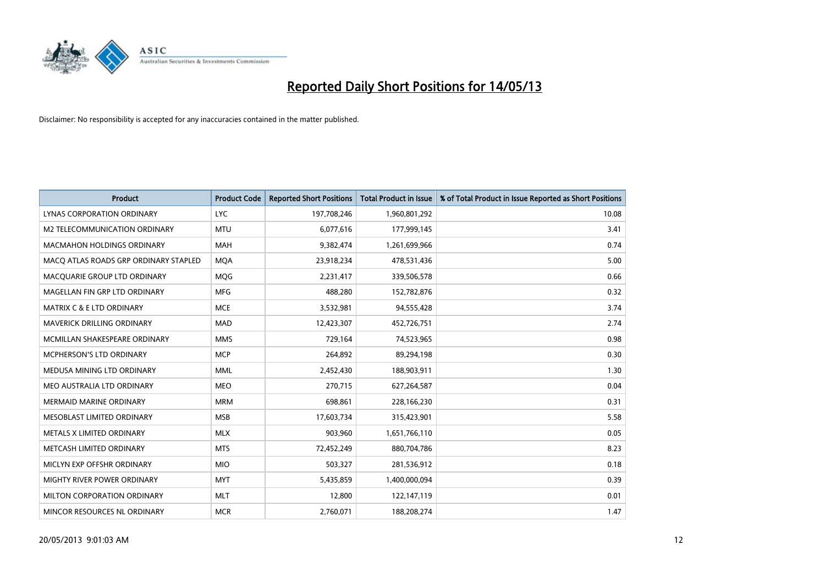

| <b>Product</b>                        | <b>Product Code</b> | <b>Reported Short Positions</b> | <b>Total Product in Issue</b> | % of Total Product in Issue Reported as Short Positions |
|---------------------------------------|---------------------|---------------------------------|-------------------------------|---------------------------------------------------------|
| <b>LYNAS CORPORATION ORDINARY</b>     | <b>LYC</b>          | 197,708,246                     | 1,960,801,292                 | 10.08                                                   |
| M2 TELECOMMUNICATION ORDINARY         | <b>MTU</b>          | 6,077,616                       | 177,999,145                   | 3.41                                                    |
| <b>MACMAHON HOLDINGS ORDINARY</b>     | <b>MAH</b>          | 9,382,474                       | 1,261,699,966                 | 0.74                                                    |
| MACQ ATLAS ROADS GRP ORDINARY STAPLED | <b>MQA</b>          | 23,918,234                      | 478,531,436                   | 5.00                                                    |
| MACOUARIE GROUP LTD ORDINARY          | <b>MOG</b>          | 2,231,417                       | 339,506,578                   | 0.66                                                    |
| MAGELLAN FIN GRP LTD ORDINARY         | <b>MFG</b>          | 488,280                         | 152,782,876                   | 0.32                                                    |
| MATRIX C & E LTD ORDINARY             | <b>MCE</b>          | 3,532,981                       | 94,555,428                    | 3.74                                                    |
| MAVERICK DRILLING ORDINARY            | <b>MAD</b>          | 12,423,307                      | 452,726,751                   | 2.74                                                    |
| MCMILLAN SHAKESPEARE ORDINARY         | <b>MMS</b>          | 729,164                         | 74,523,965                    | 0.98                                                    |
| <b>MCPHERSON'S LTD ORDINARY</b>       | <b>MCP</b>          | 264,892                         | 89,294,198                    | 0.30                                                    |
| MEDUSA MINING LTD ORDINARY            | <b>MML</b>          | 2,452,430                       | 188,903,911                   | 1.30                                                    |
| MEO AUSTRALIA LTD ORDINARY            | <b>MEO</b>          | 270,715                         | 627,264,587                   | 0.04                                                    |
| <b>MERMAID MARINE ORDINARY</b>        | <b>MRM</b>          | 698,861                         | 228,166,230                   | 0.31                                                    |
| MESOBLAST LIMITED ORDINARY            | <b>MSB</b>          | 17,603,734                      | 315,423,901                   | 5.58                                                    |
| METALS X LIMITED ORDINARY             | <b>MLX</b>          | 903,960                         | 1,651,766,110                 | 0.05                                                    |
| METCASH LIMITED ORDINARY              | <b>MTS</b>          | 72,452,249                      | 880,704,786                   | 8.23                                                    |
| MICLYN EXP OFFSHR ORDINARY            | <b>MIO</b>          | 503,327                         | 281,536,912                   | 0.18                                                    |
| MIGHTY RIVER POWER ORDINARY           | <b>MYT</b>          | 5,435,859                       | 1,400,000,094                 | 0.39                                                    |
| MILTON CORPORATION ORDINARY           | <b>MLT</b>          | 12,800                          | 122,147,119                   | 0.01                                                    |
| MINCOR RESOURCES NL ORDINARY          | <b>MCR</b>          | 2,760,071                       | 188,208,274                   | 1.47                                                    |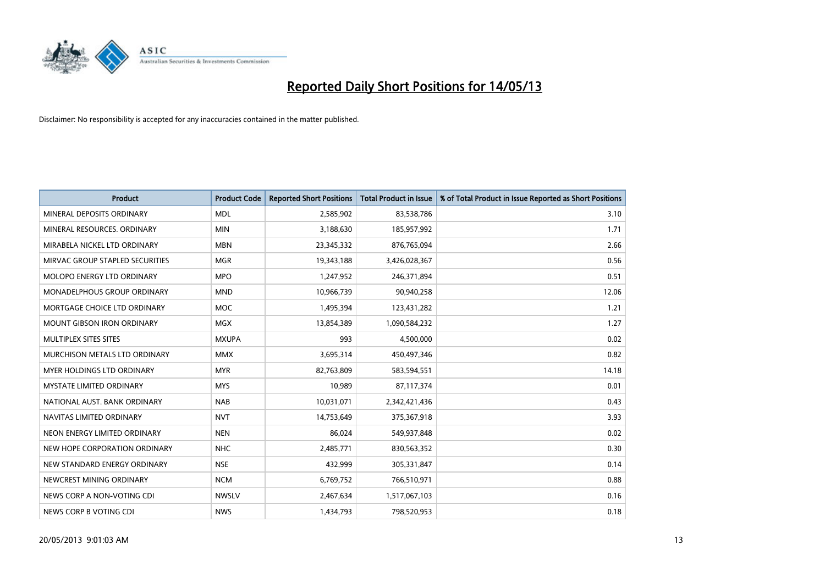

| <b>Product</b>                       | <b>Product Code</b> | <b>Reported Short Positions</b> | <b>Total Product in Issue</b> | % of Total Product in Issue Reported as Short Positions |
|--------------------------------------|---------------------|---------------------------------|-------------------------------|---------------------------------------------------------|
| MINERAL DEPOSITS ORDINARY            | <b>MDL</b>          | 2,585,902                       | 83,538,786                    | 3.10                                                    |
| MINERAL RESOURCES. ORDINARY          | <b>MIN</b>          | 3,188,630                       | 185,957,992                   | 1.71                                                    |
| MIRABELA NICKEL LTD ORDINARY         | <b>MBN</b>          | 23,345,332                      | 876,765,094                   | 2.66                                                    |
| MIRVAC GROUP STAPLED SECURITIES      | <b>MGR</b>          | 19,343,188                      | 3,426,028,367                 | 0.56                                                    |
| MOLOPO ENERGY LTD ORDINARY           | <b>MPO</b>          | 1,247,952                       | 246,371,894                   | 0.51                                                    |
| <b>MONADELPHOUS GROUP ORDINARY</b>   | <b>MND</b>          | 10,966,739                      | 90,940,258                    | 12.06                                                   |
| MORTGAGE CHOICE LTD ORDINARY         | <b>MOC</b>          | 1,495,394                       | 123,431,282                   | 1.21                                                    |
| <b>MOUNT GIBSON IRON ORDINARY</b>    | <b>MGX</b>          | 13,854,389                      | 1,090,584,232                 | 1.27                                                    |
| MULTIPLEX SITES SITES                | <b>MXUPA</b>        | 993                             | 4,500,000                     | 0.02                                                    |
| <b>MURCHISON METALS LTD ORDINARY</b> | <b>MMX</b>          | 3,695,314                       | 450,497,346                   | 0.82                                                    |
| <b>MYER HOLDINGS LTD ORDINARY</b>    | <b>MYR</b>          | 82,763,809                      | 583,594,551                   | 14.18                                                   |
| <b>MYSTATE LIMITED ORDINARY</b>      | <b>MYS</b>          | 10,989                          | 87,117,374                    | 0.01                                                    |
| NATIONAL AUST. BANK ORDINARY         | <b>NAB</b>          | 10,031,071                      | 2,342,421,436                 | 0.43                                                    |
| NAVITAS LIMITED ORDINARY             | <b>NVT</b>          | 14,753,649                      | 375,367,918                   | 3.93                                                    |
| NEON ENERGY LIMITED ORDINARY         | <b>NEN</b>          | 86.024                          | 549,937,848                   | 0.02                                                    |
| NEW HOPE CORPORATION ORDINARY        | <b>NHC</b>          | 2,485,771                       | 830,563,352                   | 0.30                                                    |
| NEW STANDARD ENERGY ORDINARY         | <b>NSE</b>          | 432,999                         | 305,331,847                   | 0.14                                                    |
| NEWCREST MINING ORDINARY             | <b>NCM</b>          | 6,769,752                       | 766,510,971                   | 0.88                                                    |
| NEWS CORP A NON-VOTING CDI           | <b>NWSLV</b>        | 2,467,634                       | 1,517,067,103                 | 0.16                                                    |
| NEWS CORP B VOTING CDI               | <b>NWS</b>          | 1,434,793                       | 798,520,953                   | 0.18                                                    |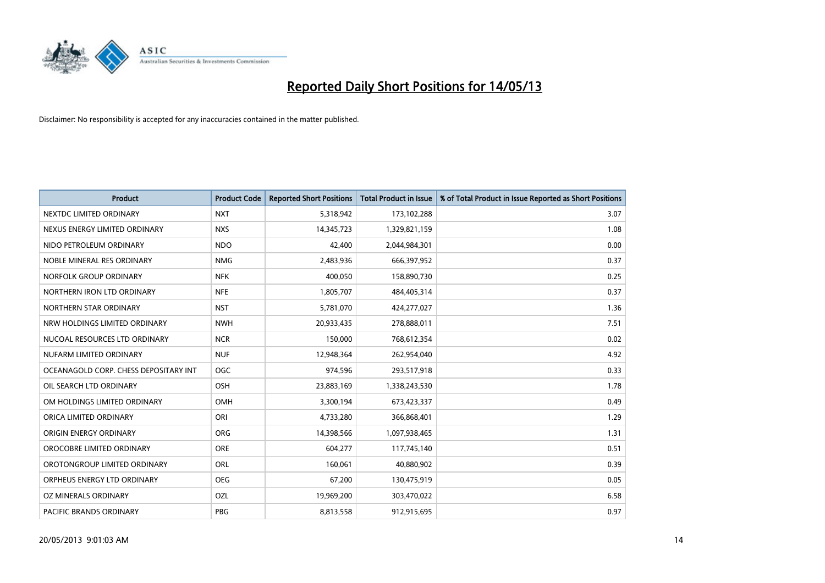

| <b>Product</b>                        | <b>Product Code</b> | <b>Reported Short Positions</b> | <b>Total Product in Issue</b> | % of Total Product in Issue Reported as Short Positions |
|---------------------------------------|---------------------|---------------------------------|-------------------------------|---------------------------------------------------------|
| NEXTDC LIMITED ORDINARY               | <b>NXT</b>          | 5,318,942                       | 173,102,288                   | 3.07                                                    |
| NEXUS ENERGY LIMITED ORDINARY         | <b>NXS</b>          | 14,345,723                      | 1,329,821,159                 | 1.08                                                    |
| NIDO PETROLEUM ORDINARY               | <b>NDO</b>          | 42,400                          | 2,044,984,301                 | 0.00                                                    |
| NOBLE MINERAL RES ORDINARY            | <b>NMG</b>          | 2,483,936                       | 666,397,952                   | 0.37                                                    |
| NORFOLK GROUP ORDINARY                | <b>NFK</b>          | 400.050                         | 158,890,730                   | 0.25                                                    |
| NORTHERN IRON LTD ORDINARY            | <b>NFE</b>          | 1,805,707                       | 484,405,314                   | 0.37                                                    |
| NORTHERN STAR ORDINARY                | <b>NST</b>          | 5,781,070                       | 424,277,027                   | 1.36                                                    |
| NRW HOLDINGS LIMITED ORDINARY         | <b>NWH</b>          | 20,933,435                      | 278,888,011                   | 7.51                                                    |
| NUCOAL RESOURCES LTD ORDINARY         | <b>NCR</b>          | 150,000                         | 768,612,354                   | 0.02                                                    |
| NUFARM LIMITED ORDINARY               | <b>NUF</b>          | 12,948,364                      | 262,954,040                   | 4.92                                                    |
| OCEANAGOLD CORP. CHESS DEPOSITARY INT | <b>OGC</b>          | 974,596                         | 293,517,918                   | 0.33                                                    |
| OIL SEARCH LTD ORDINARY               | <b>OSH</b>          | 23,883,169                      | 1,338,243,530                 | 1.78                                                    |
| OM HOLDINGS LIMITED ORDINARY          | <b>OMH</b>          | 3,300,194                       | 673,423,337                   | 0.49                                                    |
| ORICA LIMITED ORDINARY                | ORI                 | 4,733,280                       | 366,868,401                   | 1.29                                                    |
| ORIGIN ENERGY ORDINARY                | <b>ORG</b>          | 14,398,566                      | 1,097,938,465                 | 1.31                                                    |
| OROCOBRE LIMITED ORDINARY             | <b>ORE</b>          | 604,277                         | 117,745,140                   | 0.51                                                    |
| OROTONGROUP LIMITED ORDINARY          | <b>ORL</b>          | 160,061                         | 40,880,902                    | 0.39                                                    |
| ORPHEUS ENERGY LTD ORDINARY           | <b>OEG</b>          | 67,200                          | 130,475,919                   | 0.05                                                    |
| OZ MINERALS ORDINARY                  | OZL                 | 19,969,200                      | 303,470,022                   | 6.58                                                    |
| <b>PACIFIC BRANDS ORDINARY</b>        | PBG                 | 8,813,558                       | 912,915,695                   | 0.97                                                    |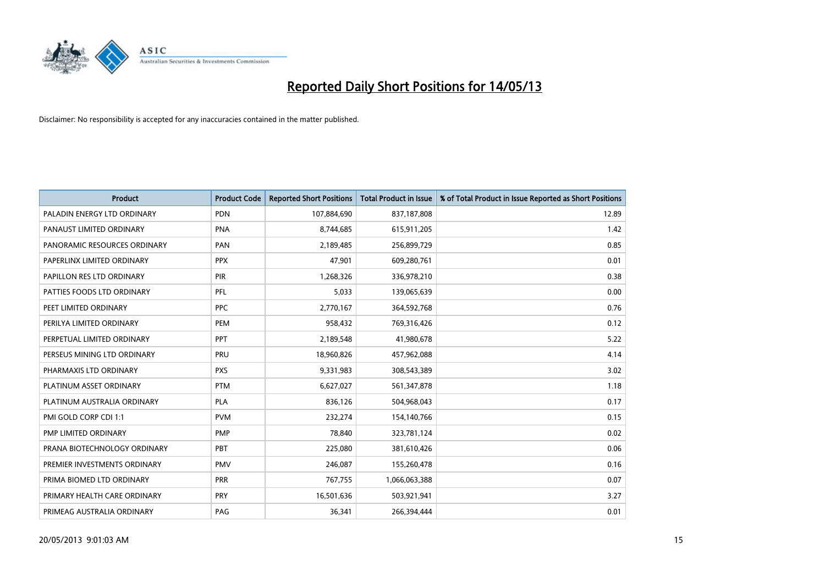

| <b>Product</b>               | <b>Product Code</b> | <b>Reported Short Positions</b> | <b>Total Product in Issue</b> | % of Total Product in Issue Reported as Short Positions |
|------------------------------|---------------------|---------------------------------|-------------------------------|---------------------------------------------------------|
| PALADIN ENERGY LTD ORDINARY  | <b>PDN</b>          | 107,884,690                     | 837,187,808                   | 12.89                                                   |
| PANAUST LIMITED ORDINARY     | PNA                 | 8,744,685                       | 615,911,205                   | 1.42                                                    |
| PANORAMIC RESOURCES ORDINARY | PAN                 | 2,189,485                       | 256,899,729                   | 0.85                                                    |
| PAPERLINX LIMITED ORDINARY   | <b>PPX</b>          | 47,901                          | 609,280,761                   | 0.01                                                    |
| PAPILLON RES LTD ORDINARY    | PIR                 | 1,268,326                       | 336,978,210                   | 0.38                                                    |
| PATTIES FOODS LTD ORDINARY   | PFL                 | 5,033                           | 139,065,639                   | 0.00                                                    |
| PEET LIMITED ORDINARY        | <b>PPC</b>          | 2,770,167                       | 364,592,768                   | 0.76                                                    |
| PERILYA LIMITED ORDINARY     | PEM                 | 958,432                         | 769,316,426                   | 0.12                                                    |
| PERPETUAL LIMITED ORDINARY   | <b>PPT</b>          | 2,189,548                       | 41,980,678                    | 5.22                                                    |
| PERSEUS MINING LTD ORDINARY  | PRU                 | 18,960,826                      | 457,962,088                   | 4.14                                                    |
| PHARMAXIS LTD ORDINARY       | <b>PXS</b>          | 9,331,983                       | 308,543,389                   | 3.02                                                    |
| PLATINUM ASSET ORDINARY      | <b>PTM</b>          | 6,627,027                       | 561,347,878                   | 1.18                                                    |
| PLATINUM AUSTRALIA ORDINARY  | PLA                 | 836,126                         | 504,968,043                   | 0.17                                                    |
| PMI GOLD CORP CDI 1:1        | <b>PVM</b>          | 232,274                         | 154,140,766                   | 0.15                                                    |
| PMP LIMITED ORDINARY         | <b>PMP</b>          | 78,840                          | 323,781,124                   | 0.02                                                    |
| PRANA BIOTECHNOLOGY ORDINARY | PBT                 | 225,080                         | 381,610,426                   | 0.06                                                    |
| PREMIER INVESTMENTS ORDINARY | <b>PMV</b>          | 246,087                         | 155,260,478                   | 0.16                                                    |
| PRIMA BIOMED LTD ORDINARY    | <b>PRR</b>          | 767,755                         | 1,066,063,388                 | 0.07                                                    |
| PRIMARY HEALTH CARE ORDINARY | <b>PRY</b>          | 16,501,636                      | 503,921,941                   | 3.27                                                    |
| PRIMEAG AUSTRALIA ORDINARY   | PAG                 | 36,341                          | 266.394.444                   | 0.01                                                    |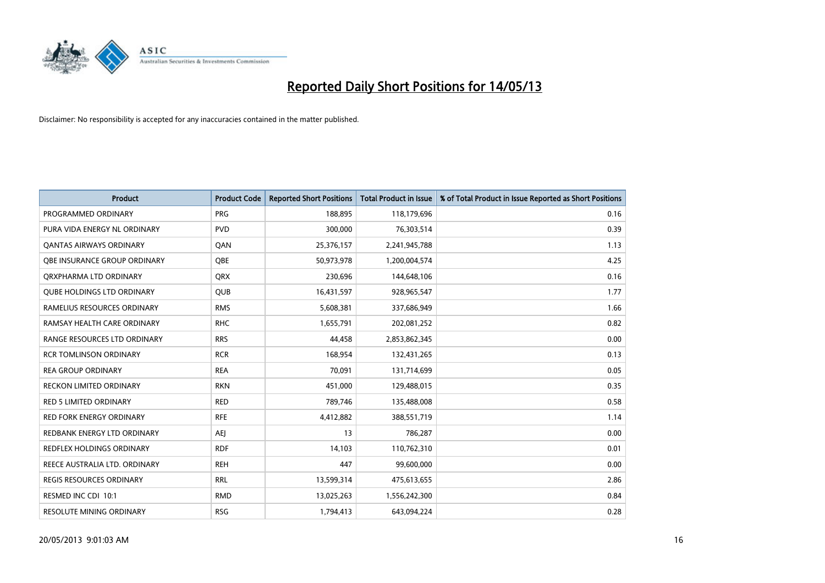

| <b>Product</b>                      | <b>Product Code</b> | <b>Reported Short Positions</b> | <b>Total Product in Issue</b> | % of Total Product in Issue Reported as Short Positions |
|-------------------------------------|---------------------|---------------------------------|-------------------------------|---------------------------------------------------------|
| PROGRAMMED ORDINARY                 | <b>PRG</b>          | 188,895                         | 118,179,696                   | 0.16                                                    |
| PURA VIDA ENERGY NL ORDINARY        | <b>PVD</b>          | 300,000                         | 76,303,514                    | 0.39                                                    |
| <b>OANTAS AIRWAYS ORDINARY</b>      | QAN                 | 25,376,157                      | 2,241,945,788                 | 1.13                                                    |
| <b>OBE INSURANCE GROUP ORDINARY</b> | <b>OBE</b>          | 50,973,978                      | 1,200,004,574                 | 4.25                                                    |
| ORXPHARMA LTD ORDINARY              | <b>ORX</b>          | 230,696                         | 144,648,106                   | 0.16                                                    |
| <b>QUBE HOLDINGS LTD ORDINARY</b>   | <b>QUB</b>          | 16,431,597                      | 928,965,547                   | 1.77                                                    |
| RAMELIUS RESOURCES ORDINARY         | <b>RMS</b>          | 5,608,381                       | 337,686,949                   | 1.66                                                    |
| RAMSAY HEALTH CARE ORDINARY         | <b>RHC</b>          | 1,655,791                       | 202,081,252                   | 0.82                                                    |
| RANGE RESOURCES LTD ORDINARY        | <b>RRS</b>          | 44,458                          | 2,853,862,345                 | 0.00                                                    |
| <b>RCR TOMLINSON ORDINARY</b>       | <b>RCR</b>          | 168,954                         | 132,431,265                   | 0.13                                                    |
| <b>REA GROUP ORDINARY</b>           | <b>REA</b>          | 70,091                          | 131,714,699                   | 0.05                                                    |
| <b>RECKON LIMITED ORDINARY</b>      | <b>RKN</b>          | 451,000                         | 129,488,015                   | 0.35                                                    |
| RED 5 LIMITED ORDINARY              | <b>RED</b>          | 789,746                         | 135,488,008                   | 0.58                                                    |
| <b>RED FORK ENERGY ORDINARY</b>     | <b>RFE</b>          | 4,412,882                       | 388,551,719                   | 1.14                                                    |
| REDBANK ENERGY LTD ORDINARY         | <b>AEJ</b>          | 13                              | 786,287                       | 0.00                                                    |
| REDFLEX HOLDINGS ORDINARY           | <b>RDF</b>          | 14,103                          | 110,762,310                   | 0.01                                                    |
| REECE AUSTRALIA LTD. ORDINARY       | <b>REH</b>          | 447                             | 99,600,000                    | 0.00                                                    |
| <b>REGIS RESOURCES ORDINARY</b>     | <b>RRL</b>          | 13,599,314                      | 475,613,655                   | 2.86                                                    |
| RESMED INC CDI 10:1                 | <b>RMD</b>          | 13,025,263                      | 1,556,242,300                 | 0.84                                                    |
| RESOLUTE MINING ORDINARY            | <b>RSG</b>          | 1,794,413                       | 643,094,224                   | 0.28                                                    |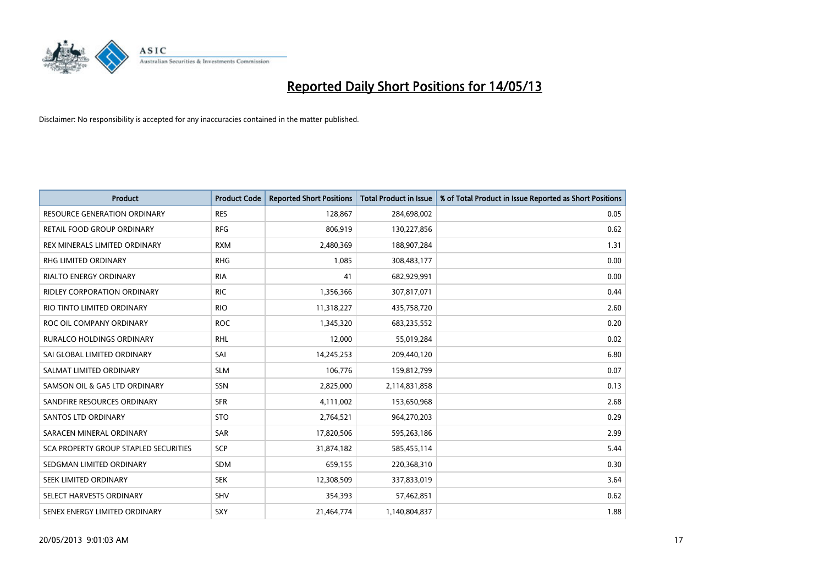

| <b>Product</b>                        | <b>Product Code</b> | <b>Reported Short Positions</b> | <b>Total Product in Issue</b> | % of Total Product in Issue Reported as Short Positions |
|---------------------------------------|---------------------|---------------------------------|-------------------------------|---------------------------------------------------------|
| <b>RESOURCE GENERATION ORDINARY</b>   | <b>RES</b>          | 128,867                         | 284,698,002                   | 0.05                                                    |
| RETAIL FOOD GROUP ORDINARY            | <b>RFG</b>          | 806,919                         | 130,227,856                   | 0.62                                                    |
| REX MINERALS LIMITED ORDINARY         | <b>RXM</b>          | 2,480,369                       | 188,907,284                   | 1.31                                                    |
| RHG LIMITED ORDINARY                  | <b>RHG</b>          | 1,085                           | 308,483,177                   | 0.00                                                    |
| <b>RIALTO ENERGY ORDINARY</b>         | <b>RIA</b>          | 41                              | 682,929,991                   | 0.00                                                    |
| <b>RIDLEY CORPORATION ORDINARY</b>    | <b>RIC</b>          | 1,356,366                       | 307,817,071                   | 0.44                                                    |
| RIO TINTO LIMITED ORDINARY            | <b>RIO</b>          | 11,318,227                      | 435,758,720                   | 2.60                                                    |
| ROC OIL COMPANY ORDINARY              | <b>ROC</b>          | 1,345,320                       | 683,235,552                   | 0.20                                                    |
| RURALCO HOLDINGS ORDINARY             | <b>RHL</b>          | 12,000                          | 55,019,284                    | 0.02                                                    |
| SAI GLOBAL LIMITED ORDINARY           | SAI                 | 14,245,253                      | 209,440,120                   | 6.80                                                    |
| SALMAT LIMITED ORDINARY               | <b>SLM</b>          | 106,776                         | 159,812,799                   | 0.07                                                    |
| SAMSON OIL & GAS LTD ORDINARY         | SSN                 | 2,825,000                       | 2,114,831,858                 | 0.13                                                    |
| SANDFIRE RESOURCES ORDINARY           | <b>SFR</b>          | 4,111,002                       | 153,650,968                   | 2.68                                                    |
| <b>SANTOS LTD ORDINARY</b>            | <b>STO</b>          | 2,764,521                       | 964,270,203                   | 0.29                                                    |
| SARACEN MINERAL ORDINARY              | SAR                 | 17,820,506                      | 595,263,186                   | 2.99                                                    |
| SCA PROPERTY GROUP STAPLED SECURITIES | SCP                 | 31,874,182                      | 585,455,114                   | 5.44                                                    |
| SEDGMAN LIMITED ORDINARY              | <b>SDM</b>          | 659,155                         | 220,368,310                   | 0.30                                                    |
| <b>SEEK LIMITED ORDINARY</b>          | <b>SEK</b>          | 12,308,509                      | 337,833,019                   | 3.64                                                    |
| SELECT HARVESTS ORDINARY              | SHV                 | 354,393                         | 57,462,851                    | 0.62                                                    |
| SENEX ENERGY LIMITED ORDINARY         | SXY                 | 21,464,774                      | 1,140,804,837                 | 1.88                                                    |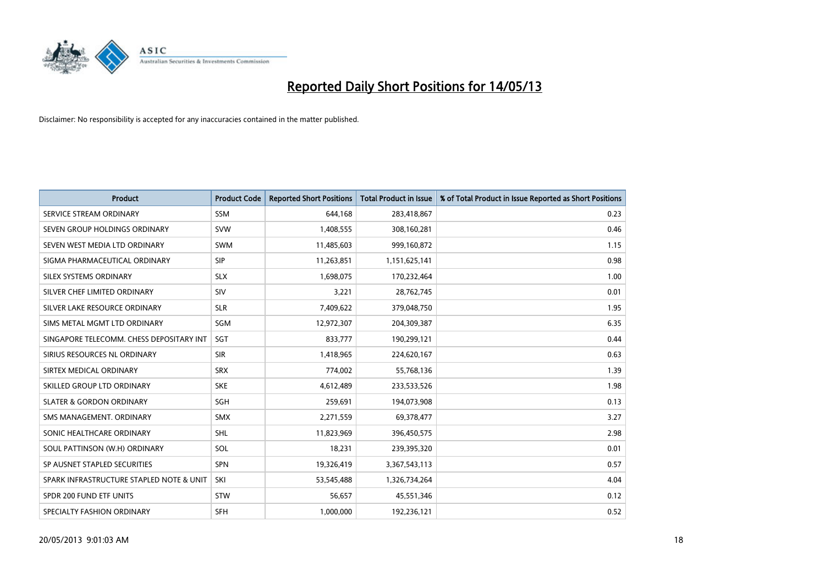

| <b>Product</b>                           | <b>Product Code</b> | <b>Reported Short Positions</b> | <b>Total Product in Issue</b> | % of Total Product in Issue Reported as Short Positions |
|------------------------------------------|---------------------|---------------------------------|-------------------------------|---------------------------------------------------------|
| SERVICE STREAM ORDINARY                  | <b>SSM</b>          | 644.168                         | 283,418,867                   | 0.23                                                    |
| SEVEN GROUP HOLDINGS ORDINARY            | <b>SVW</b>          | 1,408,555                       | 308,160,281                   | 0.46                                                    |
| SEVEN WEST MEDIA LTD ORDINARY            | <b>SWM</b>          | 11,485,603                      | 999,160,872                   | 1.15                                                    |
| SIGMA PHARMACEUTICAL ORDINARY            | <b>SIP</b>          | 11,263,851                      | 1,151,625,141                 | 0.98                                                    |
| <b>SILEX SYSTEMS ORDINARY</b>            | <b>SLX</b>          | 1,698,075                       | 170,232,464                   | 1.00                                                    |
| SILVER CHEF LIMITED ORDINARY             | SIV                 | 3,221                           | 28,762,745                    | 0.01                                                    |
| SILVER LAKE RESOURCE ORDINARY            | <b>SLR</b>          | 7,409,622                       | 379,048,750                   | 1.95                                                    |
| SIMS METAL MGMT LTD ORDINARY             | SGM                 | 12,972,307                      | 204,309,387                   | 6.35                                                    |
| SINGAPORE TELECOMM. CHESS DEPOSITARY INT | <b>SGT</b>          | 833,777                         | 190,299,121                   | 0.44                                                    |
| SIRIUS RESOURCES NL ORDINARY             | <b>SIR</b>          | 1,418,965                       | 224,620,167                   | 0.63                                                    |
| SIRTEX MEDICAL ORDINARY                  | <b>SRX</b>          | 774,002                         | 55,768,136                    | 1.39                                                    |
| SKILLED GROUP LTD ORDINARY               | <b>SKE</b>          | 4,612,489                       | 233,533,526                   | 1.98                                                    |
| <b>SLATER &amp; GORDON ORDINARY</b>      | <b>SGH</b>          | 259,691                         | 194,073,908                   | 0.13                                                    |
| SMS MANAGEMENT, ORDINARY                 | <b>SMX</b>          | 2,271,559                       | 69,378,477                    | 3.27                                                    |
| SONIC HEALTHCARE ORDINARY                | <b>SHL</b>          | 11,823,969                      | 396,450,575                   | 2.98                                                    |
| SOUL PATTINSON (W.H) ORDINARY            | SOL                 | 18,231                          | 239,395,320                   | 0.01                                                    |
| SP AUSNET STAPLED SECURITIES             | <b>SPN</b>          | 19,326,419                      | 3,367,543,113                 | 0.57                                                    |
| SPARK INFRASTRUCTURE STAPLED NOTE & UNIT | SKI                 | 53,545,488                      | 1,326,734,264                 | 4.04                                                    |
| SPDR 200 FUND ETF UNITS                  | <b>STW</b>          | 56,657                          | 45,551,346                    | 0.12                                                    |
| SPECIALTY FASHION ORDINARY               | <b>SFH</b>          | 1,000,000                       | 192,236,121                   | 0.52                                                    |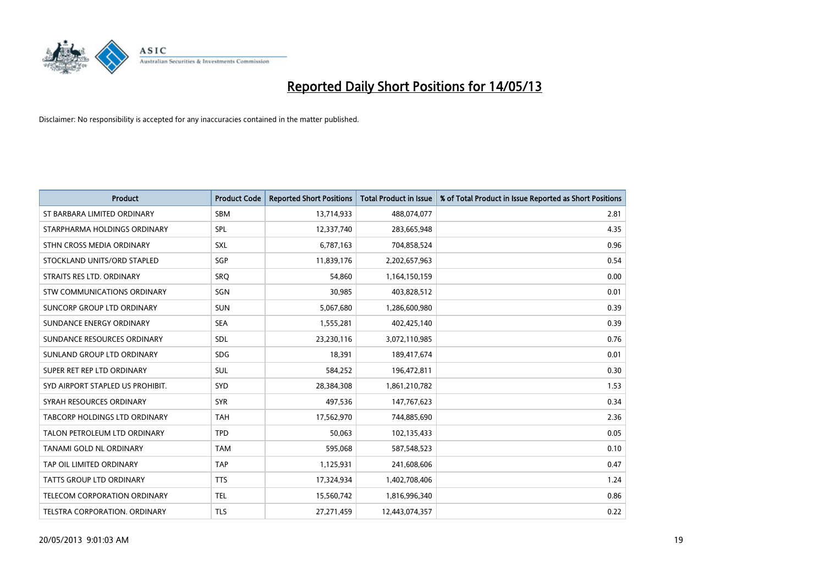

| <b>Product</b>                       | <b>Product Code</b> | <b>Reported Short Positions</b> | <b>Total Product in Issue</b> | % of Total Product in Issue Reported as Short Positions |
|--------------------------------------|---------------------|---------------------------------|-------------------------------|---------------------------------------------------------|
| ST BARBARA LIMITED ORDINARY          | <b>SBM</b>          | 13,714,933                      | 488,074,077                   | 2.81                                                    |
| STARPHARMA HOLDINGS ORDINARY         | <b>SPL</b>          | 12,337,740                      | 283,665,948                   | 4.35                                                    |
| STHN CROSS MEDIA ORDINARY            | <b>SXL</b>          | 6,787,163                       | 704,858,524                   | 0.96                                                    |
| STOCKLAND UNITS/ORD STAPLED          | <b>SGP</b>          | 11,839,176                      | 2,202,657,963                 | 0.54                                                    |
| STRAITS RES LTD. ORDINARY            | SRO                 | 54,860                          | 1,164,150,159                 | 0.00                                                    |
| <b>STW COMMUNICATIONS ORDINARY</b>   | SGN                 | 30,985                          | 403,828,512                   | 0.01                                                    |
| SUNCORP GROUP LTD ORDINARY           | <b>SUN</b>          | 5,067,680                       | 1,286,600,980                 | 0.39                                                    |
| SUNDANCE ENERGY ORDINARY             | <b>SEA</b>          | 1,555,281                       | 402,425,140                   | 0.39                                                    |
| SUNDANCE RESOURCES ORDINARY          | <b>SDL</b>          | 23,230,116                      | 3,072,110,985                 | 0.76                                                    |
| SUNLAND GROUP LTD ORDINARY           | <b>SDG</b>          | 18,391                          | 189,417,674                   | 0.01                                                    |
| SUPER RET REP LTD ORDINARY           | <b>SUL</b>          | 584,252                         | 196,472,811                   | 0.30                                                    |
| SYD AIRPORT STAPLED US PROHIBIT.     | <b>SYD</b>          | 28,384,308                      | 1,861,210,782                 | 1.53                                                    |
| SYRAH RESOURCES ORDINARY             | <b>SYR</b>          | 497,536                         | 147,767,623                   | 0.34                                                    |
| <b>TABCORP HOLDINGS LTD ORDINARY</b> | <b>TAH</b>          | 17,562,970                      | 744,885,690                   | 2.36                                                    |
| TALON PETROLEUM LTD ORDINARY         | <b>TPD</b>          | 50,063                          | 102,135,433                   | 0.05                                                    |
| <b>TANAMI GOLD NL ORDINARY</b>       | <b>TAM</b>          | 595,068                         | 587,548,523                   | 0.10                                                    |
| TAP OIL LIMITED ORDINARY             | <b>TAP</b>          | 1,125,931                       | 241,608,606                   | 0.47                                                    |
| TATTS GROUP LTD ORDINARY             | <b>TTS</b>          | 17,324,934                      | 1,402,708,406                 | 1.24                                                    |
| <b>TELECOM CORPORATION ORDINARY</b>  | <b>TEL</b>          | 15,560,742                      | 1,816,996,340                 | 0.86                                                    |
| TELSTRA CORPORATION. ORDINARY        | <b>TLS</b>          | 27,271,459                      | 12,443,074,357                | 0.22                                                    |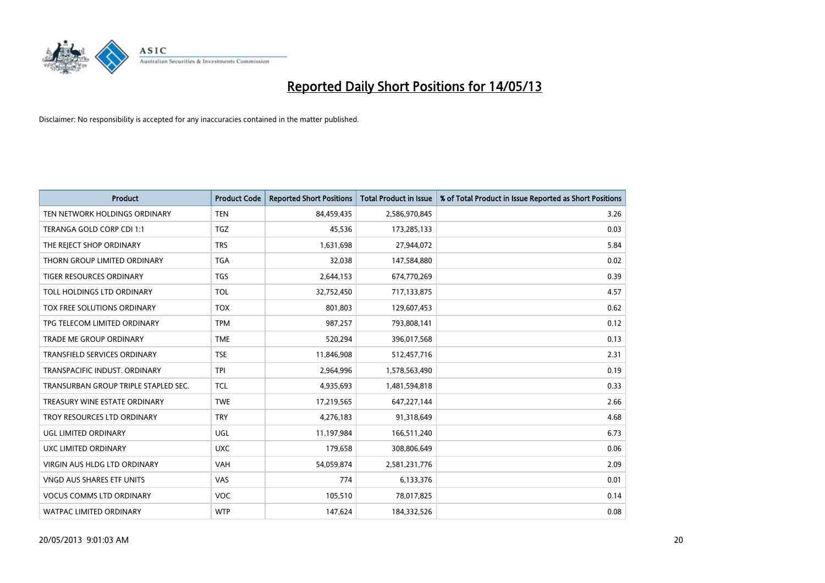

| <b>Product</b>                       | <b>Product Code</b> | <b>Reported Short Positions</b> | <b>Total Product in Issue</b> | % of Total Product in Issue Reported as Short Positions |
|--------------------------------------|---------------------|---------------------------------|-------------------------------|---------------------------------------------------------|
| TEN NETWORK HOLDINGS ORDINARY        | <b>TEN</b>          | 84,459,435                      | 2,586,970,845                 | 3.26                                                    |
| TERANGA GOLD CORP CDI 1:1            | <b>TGZ</b>          | 45,536                          | 173,285,133                   | 0.03                                                    |
| THE REJECT SHOP ORDINARY             | <b>TRS</b>          | 1,631,698                       | 27,944,072                    | 5.84                                                    |
| THORN GROUP LIMITED ORDINARY         | <b>TGA</b>          | 32,038                          | 147,584,880                   | 0.02                                                    |
| <b>TIGER RESOURCES ORDINARY</b>      | <b>TGS</b>          | 2,644,153                       | 674,770,269                   | 0.39                                                    |
| TOLL HOLDINGS LTD ORDINARY           | <b>TOL</b>          | 32,752,450                      | 717,133,875                   | 4.57                                                    |
| TOX FREE SOLUTIONS ORDINARY          | <b>TOX</b>          | 801,803                         | 129,607,453                   | 0.62                                                    |
| TPG TELECOM LIMITED ORDINARY         | <b>TPM</b>          | 987,257                         | 793,808,141                   | 0.12                                                    |
| <b>TRADE ME GROUP ORDINARY</b>       | <b>TME</b>          | 520,294                         | 396,017,568                   | 0.13                                                    |
| <b>TRANSFIELD SERVICES ORDINARY</b>  | <b>TSE</b>          | 11,846,908                      | 512,457,716                   | 2.31                                                    |
| TRANSPACIFIC INDUST. ORDINARY        | <b>TPI</b>          | 2,964,996                       | 1,578,563,490                 | 0.19                                                    |
| TRANSURBAN GROUP TRIPLE STAPLED SEC. | <b>TCL</b>          | 4,935,693                       | 1,481,594,818                 | 0.33                                                    |
| TREASURY WINE ESTATE ORDINARY        | <b>TWE</b>          | 17,219,565                      | 647,227,144                   | 2.66                                                    |
| TROY RESOURCES LTD ORDINARY          | <b>TRY</b>          | 4,276,183                       | 91,318,649                    | 4.68                                                    |
| UGL LIMITED ORDINARY                 | <b>UGL</b>          | 11,197,984                      | 166,511,240                   | 6.73                                                    |
| UXC LIMITED ORDINARY                 | <b>UXC</b>          | 179,658                         | 308,806,649                   | 0.06                                                    |
| VIRGIN AUS HLDG LTD ORDINARY         | VAH                 | 54,059,874                      | 2,581,231,776                 | 2.09                                                    |
| VNGD AUS SHARES ETF UNITS            | VAS                 | 774                             | 6,133,376                     | 0.01                                                    |
| <b>VOCUS COMMS LTD ORDINARY</b>      | <b>VOC</b>          | 105,510                         | 78,017,825                    | 0.14                                                    |
| WATPAC LIMITED ORDINARY              | <b>WTP</b>          | 147,624                         | 184,332,526                   | 0.08                                                    |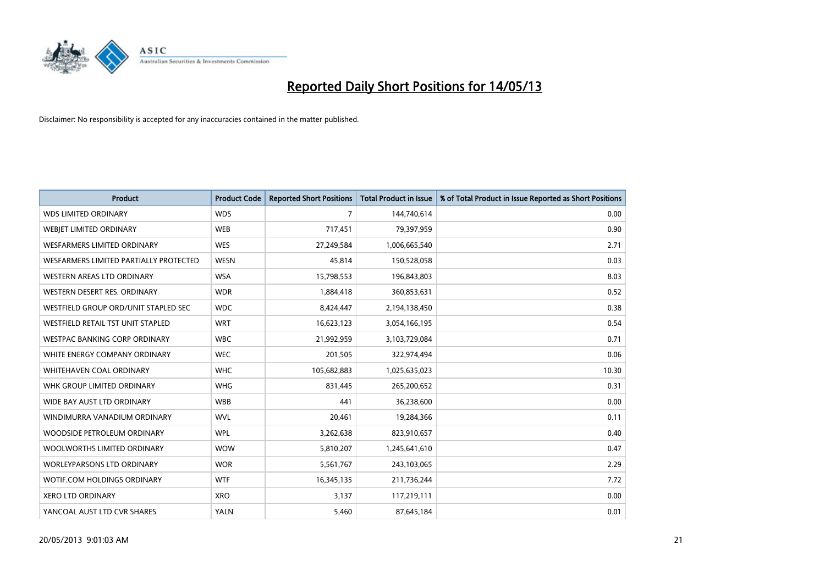

| <b>Product</b>                           | <b>Product Code</b> | <b>Reported Short Positions</b> | <b>Total Product in Issue</b> | % of Total Product in Issue Reported as Short Positions |
|------------------------------------------|---------------------|---------------------------------|-------------------------------|---------------------------------------------------------|
| <b>WDS LIMITED ORDINARY</b>              | <b>WDS</b>          | 7                               | 144,740,614                   | 0.00                                                    |
| WEBJET LIMITED ORDINARY                  | <b>WEB</b>          | 717,451                         | 79,397,959                    | 0.90                                                    |
| <b>WESFARMERS LIMITED ORDINARY</b>       | <b>WES</b>          | 27,249,584                      | 1,006,665,540                 | 2.71                                                    |
| WESFARMERS LIMITED PARTIALLY PROTECTED   | <b>WESN</b>         | 45,814                          | 150,528,058                   | 0.03                                                    |
| WESTERN AREAS LTD ORDINARY               | <b>WSA</b>          | 15,798,553                      | 196,843,803                   | 8.03                                                    |
| WESTERN DESERT RES. ORDINARY             | <b>WDR</b>          | 1,884,418                       | 360,853,631                   | 0.52                                                    |
| WESTFIELD GROUP ORD/UNIT STAPLED SEC     | <b>WDC</b>          | 8,424,447                       | 2,194,138,450                 | 0.38                                                    |
| <b>WESTFIELD RETAIL TST UNIT STAPLED</b> | <b>WRT</b>          | 16,623,123                      | 3,054,166,195                 | 0.54                                                    |
| WESTPAC BANKING CORP ORDINARY            | <b>WBC</b>          | 21,992,959                      | 3,103,729,084                 | 0.71                                                    |
| WHITE ENERGY COMPANY ORDINARY            | <b>WEC</b>          | 201,505                         | 322,974,494                   | 0.06                                                    |
| WHITEHAVEN COAL ORDINARY                 | <b>WHC</b>          | 105,682,883                     | 1,025,635,023                 | 10.30                                                   |
| WHK GROUP LIMITED ORDINARY               | <b>WHG</b>          | 831,445                         | 265,200,652                   | 0.31                                                    |
| WIDE BAY AUST LTD ORDINARY               | <b>WBB</b>          | 441                             | 36,238,600                    | 0.00                                                    |
| WINDIMURRA VANADIUM ORDINARY             | <b>WVL</b>          | 20,461                          | 19,284,366                    | 0.11                                                    |
| WOODSIDE PETROLEUM ORDINARY              | <b>WPL</b>          | 3,262,638                       | 823,910,657                   | 0.40                                                    |
| WOOLWORTHS LIMITED ORDINARY              | <b>WOW</b>          | 5,810,207                       | 1,245,641,610                 | 0.47                                                    |
| <b>WORLEYPARSONS LTD ORDINARY</b>        | <b>WOR</b>          | 5,561,767                       | 243,103,065                   | 2.29                                                    |
| WOTIF.COM HOLDINGS ORDINARY              | <b>WTF</b>          | 16,345,135                      | 211,736,244                   | 7.72                                                    |
| <b>XERO LTD ORDINARY</b>                 | <b>XRO</b>          | 3,137                           | 117,219,111                   | 0.00                                                    |
| YANCOAL AUST LTD CVR SHARES              | <b>YALN</b>         | 5,460                           | 87,645,184                    | 0.01                                                    |